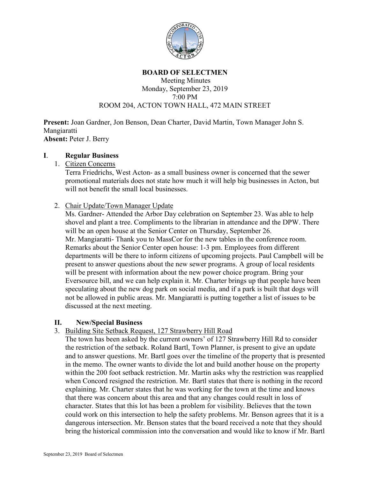

#### **BOARD OF SELECTMEN**

#### Meeting Minutes Monday, September 23, 2019 7:00 PM ROOM 204, ACTON TOWN HALL, 472 MAIN STREET

**Present:** Joan Gardner, Jon Benson, Dean Charter, David Martin, Town Manager John S. Mangiaratti **Absent:** Peter J. Berry

#### **I**. **Regular Business**

1. Citizen Concerns

Terra Friedrichs, West Acton- as a small business owner is concerned that the sewer promotional materials does not state how much it will help big businesses in Acton, but will not benefit the small local businesses.

# 2. Chair Update/Town Manager Update

Ms. Gardner- Attended the Arbor Day celebration on September 23. Was able to help shovel and plant a tree. Compliments to the librarian in attendance and the DPW. There will be an open house at the Senior Center on Thursday, September 26. Mr. Mangiaratti- Thank you to MassCor for the new tables in the conference room. Remarks about the Senior Center open house: 1-3 pm. Employees from different departments will be there to inform citizens of upcoming projects. Paul Campbell will be present to answer questions about the new sewer programs. A group of local residents will be present with information about the new power choice program. Bring your Eversource bill, and we can help explain it. Mr. Charter brings up that people have been speculating about the new dog park on social media, and if a park is built that dogs will not be allowed in public areas. Mr. Mangiaratti is putting together a list of issues to be discussed at the next meeting.

# **II. New/Special Business**

3. Building Site Setback Request, 127 Strawberry Hill Road

The town has been asked by the current owners' of 127 Strawberry Hill Rd to consider the restriction of the setback. Roland Bartl, Town Planner, is present to give an update and to answer questions. Mr. Bartl goes over the timeline of the property that is presented in the memo. The owner wants to divide the lot and build another house on the property within the 200 foot setback restriction. Mr. Martin asks why the restriction was reapplied when Concord resigned the restriction. Mr. Bartl states that there is nothing in the record explaining. Mr. Charter states that he was working for the town at the time and knows that there was concern about this area and that any changes could result in loss of character. States that this lot has been a problem for visibility. Believes that the town could work on this intersection to help the safety problems. Mr. Benson agrees that it is a dangerous intersection. Mr. Benson states that the board received a note that they should bring the historical commission into the conversation and would like to know if Mr. Bartl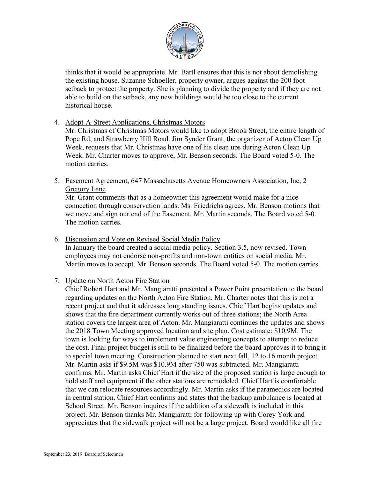

thinks that it would be appropriate. Mr. Bartl ensures that this is not about demolishing the existing house. Suzanne Schoeller, property owner, argues against the 200 foot setback to protect the property. She is planning to divide the property and if they are not able to build on the setback, any new buildings would be too close to the current historical house.

4. Adopt-A-Street Applications, Christmas Motors

Mr. Christmas of Christmas Motors would like to adopt Brook Street, the entire length of Pope Rd, and Strawberry Hill Road. Jim Synder Grant, the organizer of Acton Clean Up Week, requests that Mr. Christmas have one of his clean ups during Acton Clean Up Week. Mr. Charter moves to approve, Mr. Benson seconds. The Board voted 5-0. The motion carries.

5. Easement Agreement, 647 Massachusetts Avenue Homeowners Association, Inc, 2 Gregory Lane

Mr. Grant comments that as a homeowner this agreement would make for a nice connection through conservation lands. Ms. Friedrichs agrees. Mr. Benson motions that we move and sign our end of the Easement. Mr. Martin seconds. The Board voted 5-0. The motion carries.

6. Discussion and Vote on Revised Social Media Policy

In January the board created a social media policy. Section 3.5, now revised. Town employees may not endorse non-profits and non-town entities on social media. Mr. Martin moves to accept, Mr. Benson seconds. The Board voted 5-0. The motion carries.

# 7. Update on North Acton Fire Station

Chief Robert Hart and Mr. Mangiaratti presented a Power Point presentation to the board regarding updates on the North Acton Fire Station. Mr. Charter notes that this is not a recent project and that it addresses long standing issues. Chief Hart begins updates and shows that the fire department currently works out of three stations; the North Area station covers the largest area of Acton. Mr. Mangiaratti continues the updates and shows the 2018 Town Meeting approved location and site plan. Cost estimate: \$10.9M. The town is looking for ways to implement value engineering concepts to attempt to reduce the cost. Final project budget is still to be finalized before the board approves it to bring it to special town meeting. Construction planned to start next fall, 12 to 16 month project. Mr. Martin asks if \$9.5M was \$10.9M after 750 was subtracted. Mr. Mangiaratti confirms. Mr. Martin asks Chief Hart if the size of the proposed station is large enough to hold staff and equipment if the other stations are remodeled. Chief Hart is comfortable that we can relocate resources accordingly. Mr. Martin asks if the paramedics are located in central station. Chief Hart confirms and states that the backup ambulance is located at School Street. Mr. Benson inquires if the addition of a sidewalk is included in this project. Mr. Benson thanks Mr. Mangiaratti for following up with Corey York and appreciates that the sidewalk project will not be a large project. Board would like all fire